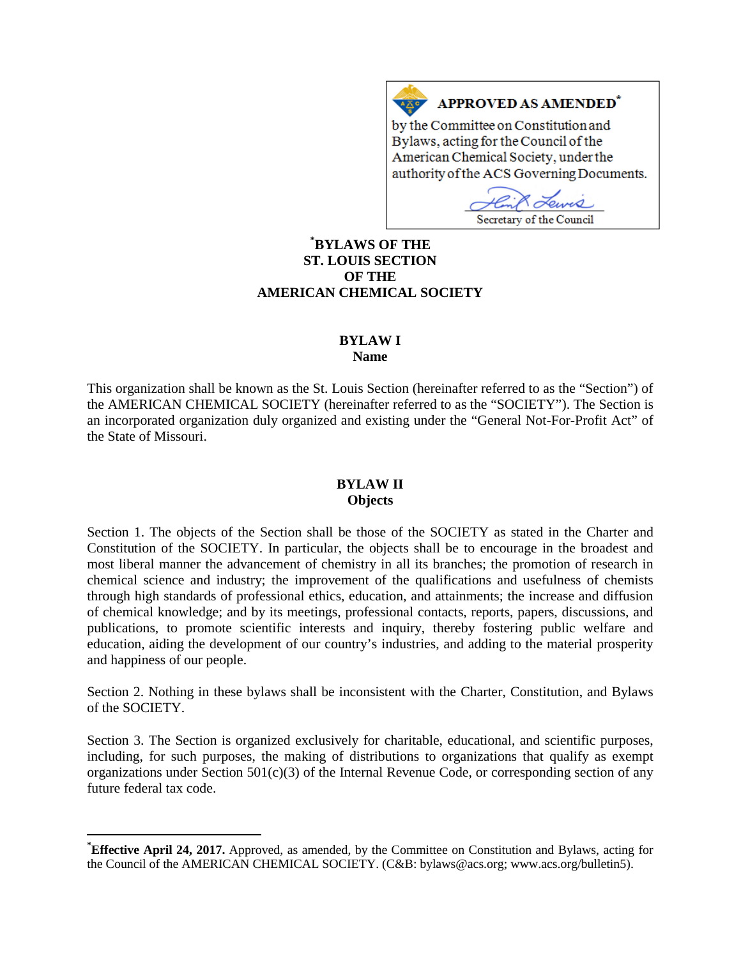#### **APPROVED AS AMENDED<sup>\*</sup>**  $A \times C$

by the Committee on Constitution and Bylaws, acting for the Council of the American Chemical Society, under the authority of the ACS Governing Documents.

чÒ Secretary of the Council

# **[\\*](#page-0-0) BYLAWS OF THE ST. LOUIS SECTION OF THE AMERICAN CHEMICAL SOCIETY**

# **BYLAW I**

**Name**

This organization shall be known as the St. Louis Section (hereinafter referred to as the "Section") of the AMERICAN CHEMICAL SOCIETY (hereinafter referred to as the "SOCIETY"). The Section is an incorporated organization duly organized and existing under the "General Not-For-Profit Act" of the State of Missouri.

# **BYLAW II Objects**

Section 1. The objects of the Section shall be those of the SOCIETY as stated in the Charter and Constitution of the SOCIETY. In particular, the objects shall be to encourage in the broadest and most liberal manner the advancement of chemistry in all its branches; the promotion of research in chemical science and industry; the improvement of the qualifications and usefulness of chemists through high standards of professional ethics, education, and attainments; the increase and diffusion of chemical knowledge; and by its meetings, professional contacts, reports, papers, discussions, and publications, to promote scientific interests and inquiry, thereby fostering public welfare and education, aiding the development of our country's industries, and adding to the material prosperity and happiness of our people.

Section 2. Nothing in these bylaws shall be inconsistent with the Charter, Constitution, and Bylaws of the SOCIETY.

Section 3. The Section is organized exclusively for charitable, educational, and scientific purposes, including, for such purposes, the making of distributions to organizations that qualify as exempt organizations under Section 501(c)(3) of the Internal Revenue Code, or corresponding section of any future federal tax code.

<span id="page-0-0"></span>**\* Effective April 24, 2017.** Approved, as amended, by the Committee on Constitution and Bylaws, acting for the Council of the AMERICAN CHEMICAL SOCIETY. (C&B: bylaws@acs.org; www.acs.org/bulletin5).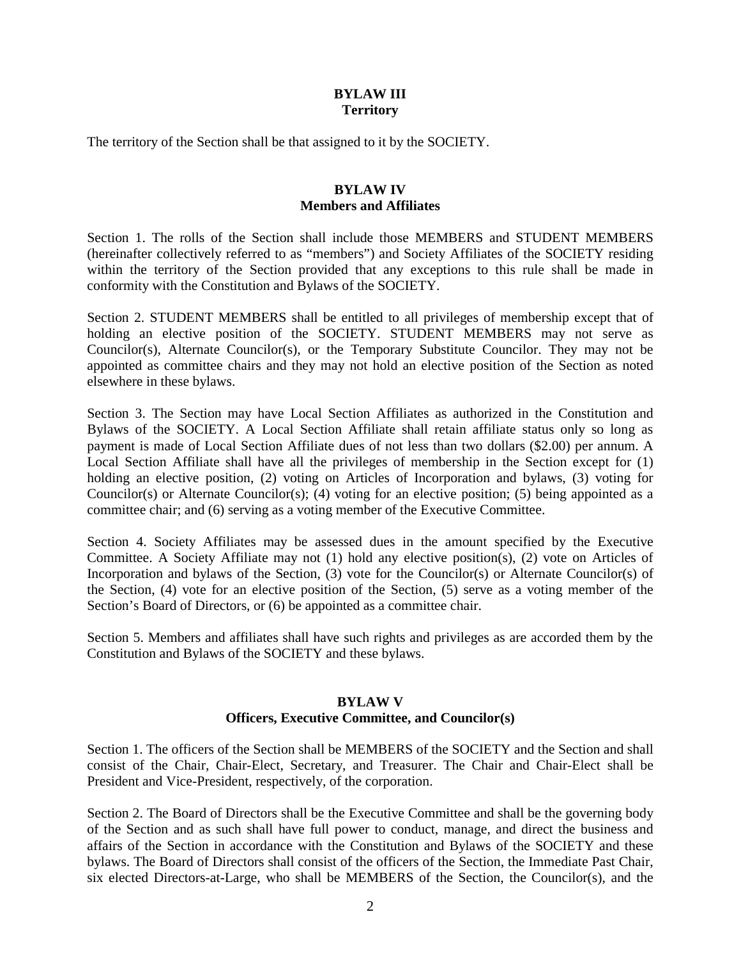#### **BYLAW III Territory**

The territory of the Section shall be that assigned to it by the SOCIETY.

## **BYLAW IV Members and Affiliates**

Section 1. The rolls of the Section shall include those MEMBERS and STUDENT MEMBERS (hereinafter collectively referred to as "members") and Society Affiliates of the SOCIETY residing within the territory of the Section provided that any exceptions to this rule shall be made in conformity with the Constitution and Bylaws of the SOCIETY.

Section 2. STUDENT MEMBERS shall be entitled to all privileges of membership except that of holding an elective position of the SOCIETY. STUDENT MEMBERS may not serve as Councilor(s), Alternate Councilor(s), or the Temporary Substitute Councilor. They may not be appointed as committee chairs and they may not hold an elective position of the Section as noted elsewhere in these bylaws.

Section 3. The Section may have Local Section Affiliates as authorized in the Constitution and Bylaws of the SOCIETY. A Local Section Affiliate shall retain affiliate status only so long as payment is made of Local Section Affiliate dues of not less than two dollars (\$2.00) per annum. A Local Section Affiliate shall have all the privileges of membership in the Section except for (1) holding an elective position, (2) voting on Articles of Incorporation and bylaws, (3) voting for Councilor(s) or Alternate Councilor(s); (4) voting for an elective position; (5) being appointed as a committee chair; and (6) serving as a voting member of the Executive Committee.

Section 4. Society Affiliates may be assessed dues in the amount specified by the Executive Committee. A Society Affiliate may not (1) hold any elective position(s), (2) vote on Articles of Incorporation and bylaws of the Section, (3) vote for the Councilor(s) or Alternate Councilor(s) of the Section, (4) vote for an elective position of the Section, (5) serve as a voting member of the Section's Board of Directors, or  $(6)$  be appointed as a committee chair.

Section 5. Members and affiliates shall have such rights and privileges as are accorded them by the Constitution and Bylaws of the SOCIETY and these bylaws.

#### **BYLAW V Officers, Executive Committee, and Councilor(s)**

Section 1. The officers of the Section shall be MEMBERS of the SOCIETY and the Section and shall consist of the Chair, Chair-Elect, Secretary, and Treasurer. The Chair and Chair-Elect shall be President and Vice-President, respectively, of the corporation.

Section 2. The Board of Directors shall be the Executive Committee and shall be the governing body of the Section and as such shall have full power to conduct, manage, and direct the business and affairs of the Section in accordance with the Constitution and Bylaws of the SOCIETY and these bylaws. The Board of Directors shall consist of the officers of the Section, the Immediate Past Chair, six elected Directors-at-Large, who shall be MEMBERS of the Section, the Councilor(s), and the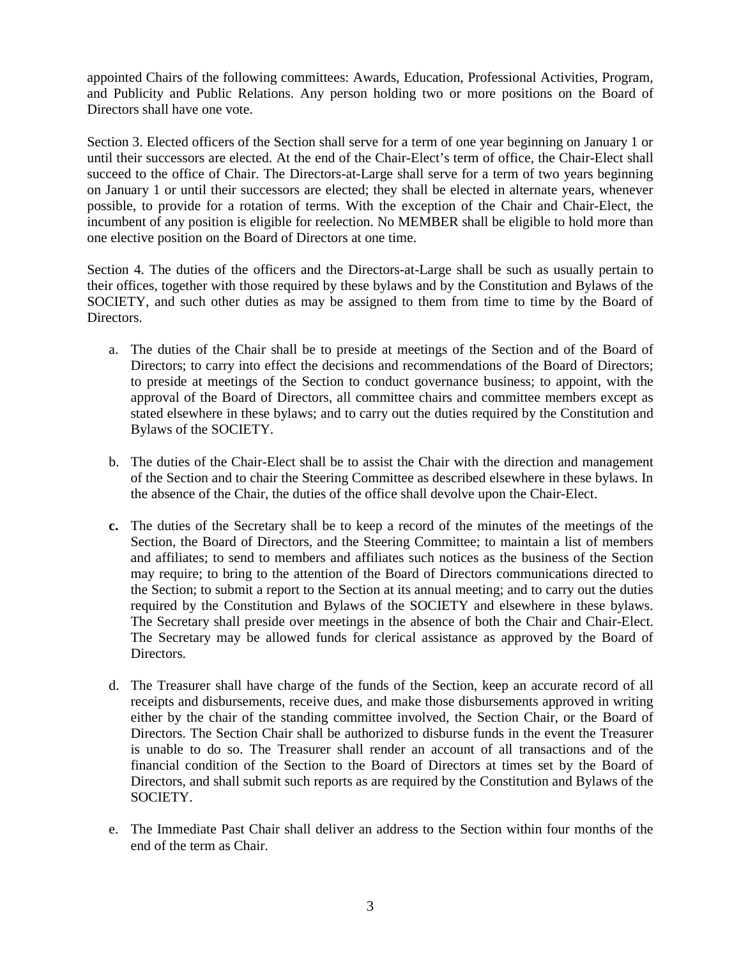appointed Chairs of the following committees: Awards, Education, Professional Activities, Program, and Publicity and Public Relations. Any person holding two or more positions on the Board of Directors shall have one vote.

Section 3. Elected officers of the Section shall serve for a term of one year beginning on January 1 or until their successors are elected. At the end of the Chair-Elect's term of office, the Chair-Elect shall succeed to the office of Chair. The Directors-at-Large shall serve for a term of two years beginning on January 1 or until their successors are elected; they shall be elected in alternate years, whenever possible, to provide for a rotation of terms. With the exception of the Chair and Chair-Elect, the incumbent of any position is eligible for reelection. No MEMBER shall be eligible to hold more than one elective position on the Board of Directors at one time.

Section 4. The duties of the officers and the Directors-at-Large shall be such as usually pertain to their offices, together with those required by these bylaws and by the Constitution and Bylaws of the SOCIETY, and such other duties as may be assigned to them from time to time by the Board of Directors.

- a. The duties of the Chair shall be to preside at meetings of the Section and of the Board of Directors; to carry into effect the decisions and recommendations of the Board of Directors; to preside at meetings of the Section to conduct governance business; to appoint, with the approval of the Board of Directors, all committee chairs and committee members except as stated elsewhere in these bylaws; and to carry out the duties required by the Constitution and Bylaws of the SOCIETY.
- b. The duties of the Chair-Elect shall be to assist the Chair with the direction and management of the Section and to chair the Steering Committee as described elsewhere in these bylaws. In the absence of the Chair, the duties of the office shall devolve upon the Chair-Elect.
- **c.** The duties of the Secretary shall be to keep a record of the minutes of the meetings of the Section, the Board of Directors, and the Steering Committee; to maintain a list of members and affiliates; to send to members and affiliates such notices as the business of the Section may require; to bring to the attention of the Board of Directors communications directed to the Section; to submit a report to the Section at its annual meeting; and to carry out the duties required by the Constitution and Bylaws of the SOCIETY and elsewhere in these bylaws. The Secretary shall preside over meetings in the absence of both the Chair and Chair-Elect. The Secretary may be allowed funds for clerical assistance as approved by the Board of Directors.
- d. The Treasurer shall have charge of the funds of the Section, keep an accurate record of all receipts and disbursements, receive dues, and make those disbursements approved in writing either by the chair of the standing committee involved, the Section Chair, or the Board of Directors. The Section Chair shall be authorized to disburse funds in the event the Treasurer is unable to do so. The Treasurer shall render an account of all transactions and of the financial condition of the Section to the Board of Directors at times set by the Board of Directors, and shall submit such reports as are required by the Constitution and Bylaws of the SOCIETY.
- e. The Immediate Past Chair shall deliver an address to the Section within four months of the end of the term as Chair.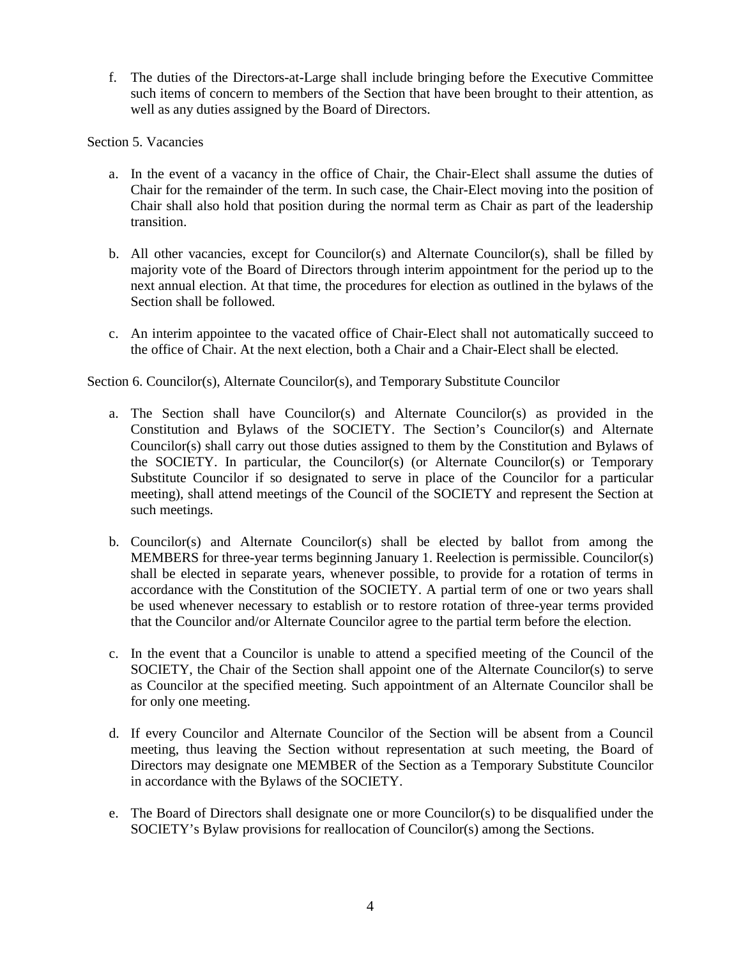f. The duties of the Directors-at-Large shall include bringing before the Executive Committee such items of concern to members of the Section that have been brought to their attention, as well as any duties assigned by the Board of Directors.

Section 5. Vacancies

- a. In the event of a vacancy in the office of Chair, the Chair-Elect shall assume the duties of Chair for the remainder of the term. In such case, the Chair-Elect moving into the position of Chair shall also hold that position during the normal term as Chair as part of the leadership transition.
- b. All other vacancies, except for Councilor(s) and Alternate Councilor(s), shall be filled by majority vote of the Board of Directors through interim appointment for the period up to the next annual election. At that time, the procedures for election as outlined in the bylaws of the Section shall be followed.
- c. An interim appointee to the vacated office of Chair-Elect shall not automatically succeed to the office of Chair. At the next election, both a Chair and a Chair-Elect shall be elected.

Section 6. Councilor(s), Alternate Councilor(s), and Temporary Substitute Councilor

- a. The Section shall have Councilor(s) and Alternate Councilor(s) as provided in the Constitution and Bylaws of the SOCIETY. The Section's Councilor(s) and Alternate Councilor(s) shall carry out those duties assigned to them by the Constitution and Bylaws of the SOCIETY. In particular, the Councilor(s) (or Alternate Councilor(s) or Temporary Substitute Councilor if so designated to serve in place of the Councilor for a particular meeting), shall attend meetings of the Council of the SOCIETY and represent the Section at such meetings.
- b. Councilor(s) and Alternate Councilor(s) shall be elected by ballot from among the MEMBERS for three-year terms beginning January 1. Reelection is permissible. Councilor(s) shall be elected in separate years, whenever possible, to provide for a rotation of terms in accordance with the Constitution of the SOCIETY. A partial term of one or two years shall be used whenever necessary to establish or to restore rotation of three-year terms provided that the Councilor and/or Alternate Councilor agree to the partial term before the election.
- c. In the event that a Councilor is unable to attend a specified meeting of the Council of the SOCIETY, the Chair of the Section shall appoint one of the Alternate Councilor(s) to serve as Councilor at the specified meeting. Such appointment of an Alternate Councilor shall be for only one meeting.
- d. If every Councilor and Alternate Councilor of the Section will be absent from a Council meeting, thus leaving the Section without representation at such meeting, the Board of Directors may designate one MEMBER of the Section as a Temporary Substitute Councilor in accordance with the Bylaws of the SOCIETY.
- e. The Board of Directors shall designate one or more Councilor(s) to be disqualified under the SOCIETY's Bylaw provisions for reallocation of Councilor(s) among the Sections.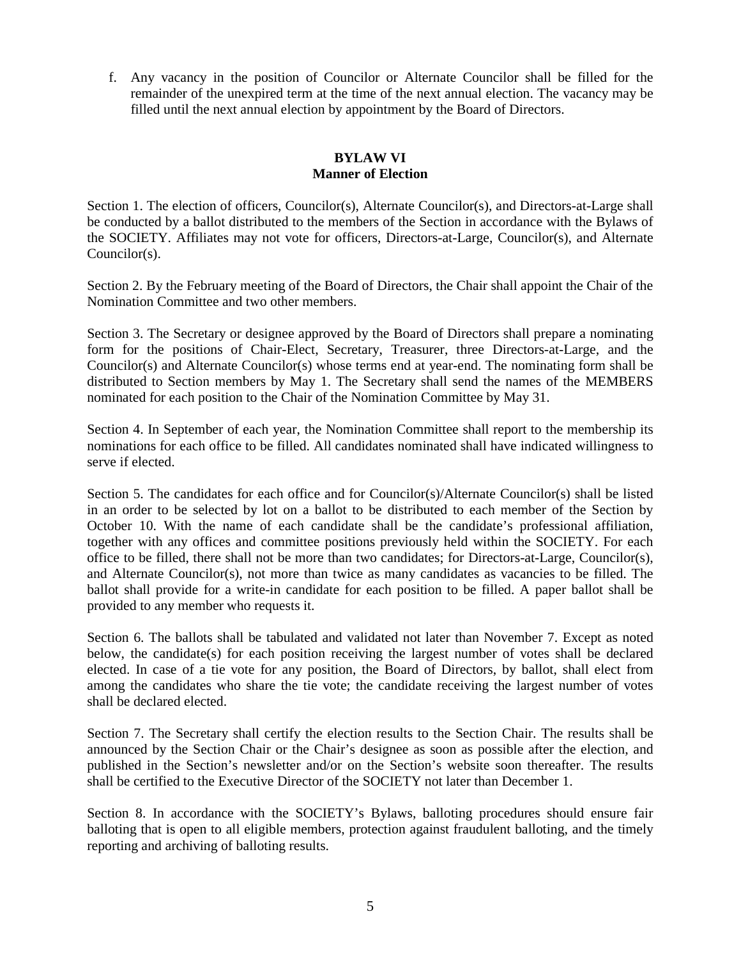f. Any vacancy in the position of Councilor or Alternate Councilor shall be filled for the remainder of the unexpired term at the time of the next annual election. The vacancy may be filled until the next annual election by appointment by the Board of Directors.

# **BYLAW VI Manner of Election**

Section 1. The election of officers, Councilor(s), Alternate Councilor(s), and Directors-at-Large shall be conducted by a ballot distributed to the members of the Section in accordance with the Bylaws of the SOCIETY. Affiliates may not vote for officers, Directors-at-Large, Councilor(s), and Alternate Councilor(s).

Section 2. By the February meeting of the Board of Directors, the Chair shall appoint the Chair of the Nomination Committee and two other members.

Section 3. The Secretary or designee approved by the Board of Directors shall prepare a nominating form for the positions of Chair-Elect, Secretary, Treasurer, three Directors-at-Large, and the Councilor(s) and Alternate Councilor(s) whose terms end at year-end. The nominating form shall be distributed to Section members by May 1. The Secretary shall send the names of the MEMBERS nominated for each position to the Chair of the Nomination Committee by May 31.

Section 4. In September of each year, the Nomination Committee shall report to the membership its nominations for each office to be filled. All candidates nominated shall have indicated willingness to serve if elected.

Section 5. The candidates for each office and for Councilor(s)/Alternate Councilor(s) shall be listed in an order to be selected by lot on a ballot to be distributed to each member of the Section by October 10. With the name of each candidate shall be the candidate's professional affiliation, together with any offices and committee positions previously held within the SOCIETY. For each office to be filled, there shall not be more than two candidates; for Directors-at-Large, Councilor(s), and Alternate Councilor(s), not more than twice as many candidates as vacancies to be filled. The ballot shall provide for a write-in candidate for each position to be filled. A paper ballot shall be provided to any member who requests it.

Section 6. The ballots shall be tabulated and validated not later than November 7. Except as noted below, the candidate(s) for each position receiving the largest number of votes shall be declared elected. In case of a tie vote for any position, the Board of Directors, by ballot, shall elect from among the candidates who share the tie vote; the candidate receiving the largest number of votes shall be declared elected.

Section 7. The Secretary shall certify the election results to the Section Chair. The results shall be announced by the Section Chair or the Chair's designee as soon as possible after the election, and published in the Section's newsletter and/or on the Section's website soon thereafter. The results shall be certified to the Executive Director of the SOCIETY not later than December 1.

Section 8. In accordance with the SOCIETY's Bylaws, balloting procedures should ensure fair balloting that is open to all eligible members, protection against fraudulent balloting, and the timely reporting and archiving of balloting results.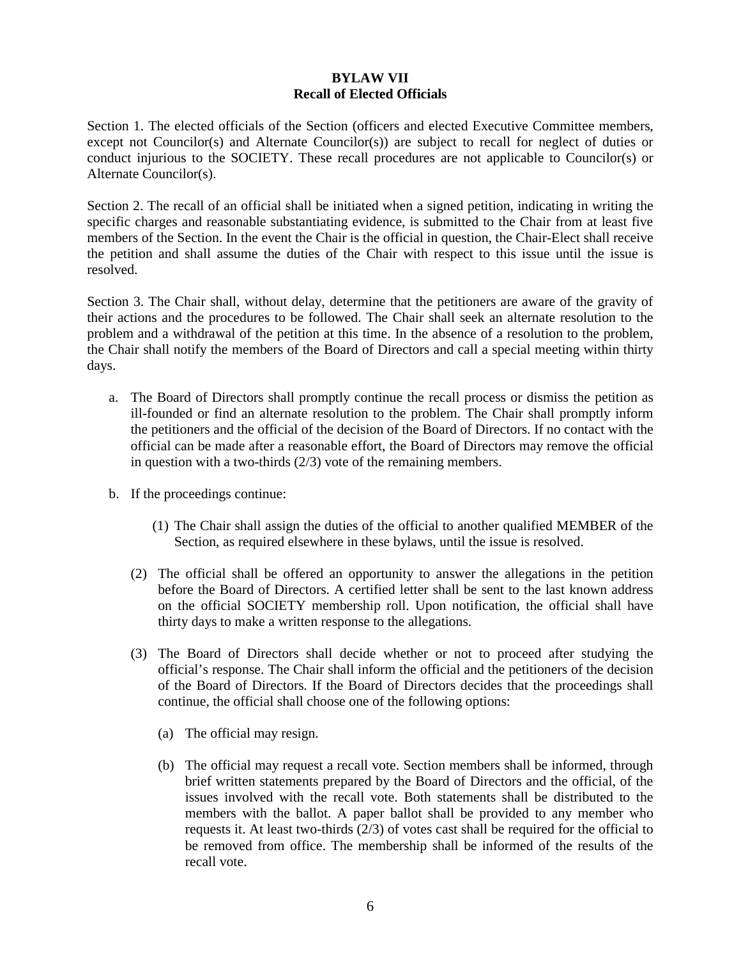# **BYLAW VII Recall of Elected Officials**

Section 1. The elected officials of the Section (officers and elected Executive Committee members, except not Councilor(s) and Alternate Councilor(s)) are subject to recall for neglect of duties or conduct injurious to the SOCIETY. These recall procedures are not applicable to Councilor(s) or Alternate Councilor(s).

Section 2. The recall of an official shall be initiated when a signed petition, indicating in writing the specific charges and reasonable substantiating evidence, is submitted to the Chair from at least five members of the Section. In the event the Chair is the official in question, the Chair-Elect shall receive the petition and shall assume the duties of the Chair with respect to this issue until the issue is resolved.

Section 3. The Chair shall, without delay, determine that the petitioners are aware of the gravity of their actions and the procedures to be followed. The Chair shall seek an alternate resolution to the problem and a withdrawal of the petition at this time. In the absence of a resolution to the problem, the Chair shall notify the members of the Board of Directors and call a special meeting within thirty days.

- a. The Board of Directors shall promptly continue the recall process or dismiss the petition as ill-founded or find an alternate resolution to the problem. The Chair shall promptly inform the petitioners and the official of the decision of the Board of Directors. If no contact with the official can be made after a reasonable effort, the Board of Directors may remove the official in question with a two-thirds (2/3) vote of the remaining members.
- b. If the proceedings continue:
	- (1) The Chair shall assign the duties of the official to another qualified MEMBER of the Section, as required elsewhere in these bylaws, until the issue is resolved.
	- (2) The official shall be offered an opportunity to answer the allegations in the petition before the Board of Directors. A certified letter shall be sent to the last known address on the official SOCIETY membership roll. Upon notification, the official shall have thirty days to make a written response to the allegations.
	- (3) The Board of Directors shall decide whether or not to proceed after studying the official's response. The Chair shall inform the official and the petitioners of the decision of the Board of Directors. If the Board of Directors decides that the proceedings shall continue, the official shall choose one of the following options:
		- (a) The official may resign.
		- (b) The official may request a recall vote. Section members shall be informed, through brief written statements prepared by the Board of Directors and the official, of the issues involved with the recall vote. Both statements shall be distributed to the members with the ballot. A paper ballot shall be provided to any member who requests it. At least two-thirds (2/3) of votes cast shall be required for the official to be removed from office. The membership shall be informed of the results of the recall vote.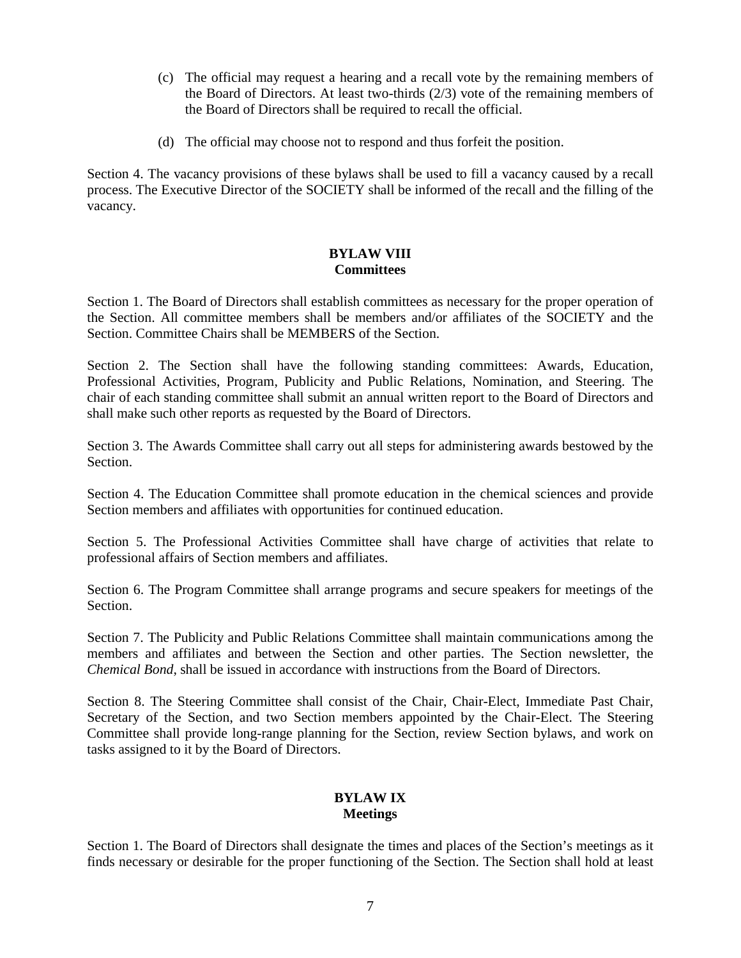- (c) The official may request a hearing and a recall vote by the remaining members of the Board of Directors. At least two-thirds (2/3) vote of the remaining members of the Board of Directors shall be required to recall the official.
- (d) The official may choose not to respond and thus forfeit the position.

Section 4. The vacancy provisions of these bylaws shall be used to fill a vacancy caused by a recall process. The Executive Director of the SOCIETY shall be informed of the recall and the filling of the vacancy.

#### **BYLAW VIII Committees**

Section 1. The Board of Directors shall establish committees as necessary for the proper operation of the Section. All committee members shall be members and/or affiliates of the SOCIETY and the Section. Committee Chairs shall be MEMBERS of the Section.

Section 2. The Section shall have the following standing committees: Awards, Education, Professional Activities, Program, Publicity and Public Relations, Nomination, and Steering. The chair of each standing committee shall submit an annual written report to the Board of Directors and shall make such other reports as requested by the Board of Directors.

Section 3. The Awards Committee shall carry out all steps for administering awards bestowed by the Section.

Section 4. The Education Committee shall promote education in the chemical sciences and provide Section members and affiliates with opportunities for continued education.

Section 5. The Professional Activities Committee shall have charge of activities that relate to professional affairs of Section members and affiliates.

Section 6. The Program Committee shall arrange programs and secure speakers for meetings of the Section.

Section 7. The Publicity and Public Relations Committee shall maintain communications among the members and affiliates and between the Section and other parties. The Section newsletter, the *Chemical Bond*, shall be issued in accordance with instructions from the Board of Directors.

Section 8. The Steering Committee shall consist of the Chair, Chair-Elect, Immediate Past Chair, Secretary of the Section, and two Section members appointed by the Chair-Elect. The Steering Committee shall provide long-range planning for the Section, review Section bylaws, and work on tasks assigned to it by the Board of Directors.

### **BYLAW IX Meetings**

Section 1. The Board of Directors shall designate the times and places of the Section's meetings as it finds necessary or desirable for the proper functioning of the Section. The Section shall hold at least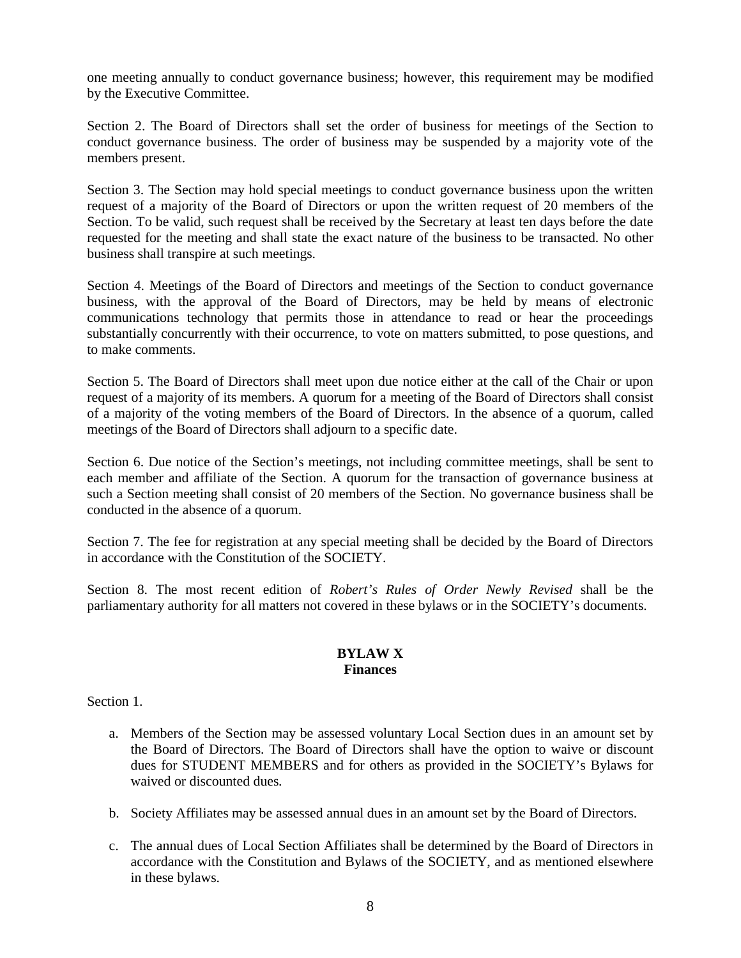one meeting annually to conduct governance business; however, this requirement may be modified by the Executive Committee.

Section 2. The Board of Directors shall set the order of business for meetings of the Section to conduct governance business. The order of business may be suspended by a majority vote of the members present.

Section 3. The Section may hold special meetings to conduct governance business upon the written request of a majority of the Board of Directors or upon the written request of 20 members of the Section. To be valid, such request shall be received by the Secretary at least ten days before the date requested for the meeting and shall state the exact nature of the business to be transacted. No other business shall transpire at such meetings.

Section 4. Meetings of the Board of Directors and meetings of the Section to conduct governance business, with the approval of the Board of Directors, may be held by means of electronic communications technology that permits those in attendance to read or hear the proceedings substantially concurrently with their occurrence, to vote on matters submitted, to pose questions, and to make comments.

Section 5. The Board of Directors shall meet upon due notice either at the call of the Chair or upon request of a majority of its members. A quorum for a meeting of the Board of Directors shall consist of a majority of the voting members of the Board of Directors. In the absence of a quorum, called meetings of the Board of Directors shall adjourn to a specific date.

Section 6. Due notice of the Section's meetings, not including committee meetings, shall be sent to each member and affiliate of the Section. A quorum for the transaction of governance business at such a Section meeting shall consist of 20 members of the Section. No governance business shall be conducted in the absence of a quorum.

Section 7. The fee for registration at any special meeting shall be decided by the Board of Directors in accordance with the Constitution of the SOCIETY.

Section 8. The most recent edition of *Robert's Rules of Order Newly Revised* shall be the parliamentary authority for all matters not covered in these bylaws or in the SOCIETY's documents.

#### **BYLAW X Finances**

Section 1.

- a. Members of the Section may be assessed voluntary Local Section dues in an amount set by the Board of Directors. The Board of Directors shall have the option to waive or discount dues for STUDENT MEMBERS and for others as provided in the SOCIETY's Bylaws for waived or discounted dues.
- b. Society Affiliates may be assessed annual dues in an amount set by the Board of Directors.
- c. The annual dues of Local Section Affiliates shall be determined by the Board of Directors in accordance with the Constitution and Bylaws of the SOCIETY, and as mentioned elsewhere in these bylaws.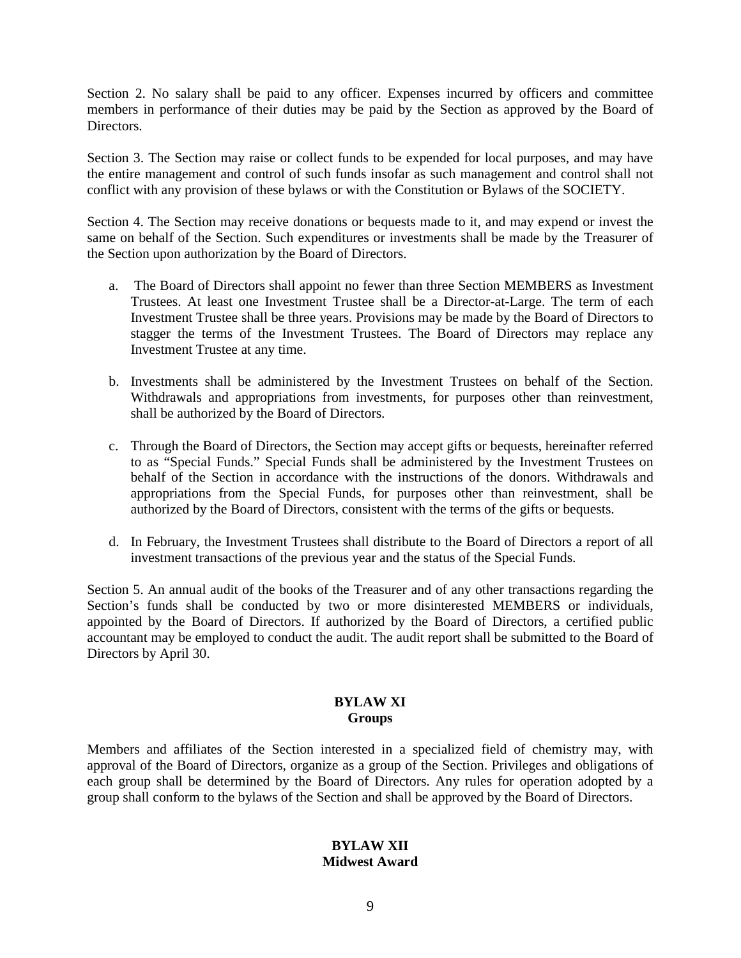Section 2. No salary shall be paid to any officer. Expenses incurred by officers and committee members in performance of their duties may be paid by the Section as approved by the Board of Directors.

Section 3. The Section may raise or collect funds to be expended for local purposes, and may have the entire management and control of such funds insofar as such management and control shall not conflict with any provision of these bylaws or with the Constitution or Bylaws of the SOCIETY.

Section 4. The Section may receive donations or bequests made to it, and may expend or invest the same on behalf of the Section. Such expenditures or investments shall be made by the Treasurer of the Section upon authorization by the Board of Directors.

- a. The Board of Directors shall appoint no fewer than three Section MEMBERS as Investment Trustees. At least one Investment Trustee shall be a Director-at-Large. The term of each Investment Trustee shall be three years. Provisions may be made by the Board of Directors to stagger the terms of the Investment Trustees. The Board of Directors may replace any Investment Trustee at any time.
- b. Investments shall be administered by the Investment Trustees on behalf of the Section. Withdrawals and appropriations from investments, for purposes other than reinvestment, shall be authorized by the Board of Directors.
- c. Through the Board of Directors, the Section may accept gifts or bequests, hereinafter referred to as "Special Funds." Special Funds shall be administered by the Investment Trustees on behalf of the Section in accordance with the instructions of the donors. Withdrawals and appropriations from the Special Funds, for purposes other than reinvestment, shall be authorized by the Board of Directors, consistent with the terms of the gifts or bequests.
- d. In February, the Investment Trustees shall distribute to the Board of Directors a report of all investment transactions of the previous year and the status of the Special Funds.

Section 5. An annual audit of the books of the Treasurer and of any other transactions regarding the Section's funds shall be conducted by two or more disinterested MEMBERS or individuals, appointed by the Board of Directors. If authorized by the Board of Directors, a certified public accountant may be employed to conduct the audit. The audit report shall be submitted to the Board of Directors by April 30.

#### **BYLAW XI Groups**

Members and affiliates of the Section interested in a specialized field of chemistry may, with approval of the Board of Directors, organize as a group of the Section. Privileges and obligations of each group shall be determined by the Board of Directors. Any rules for operation adopted by a group shall conform to the bylaws of the Section and shall be approved by the Board of Directors.

# **BYLAW XII Midwest Award**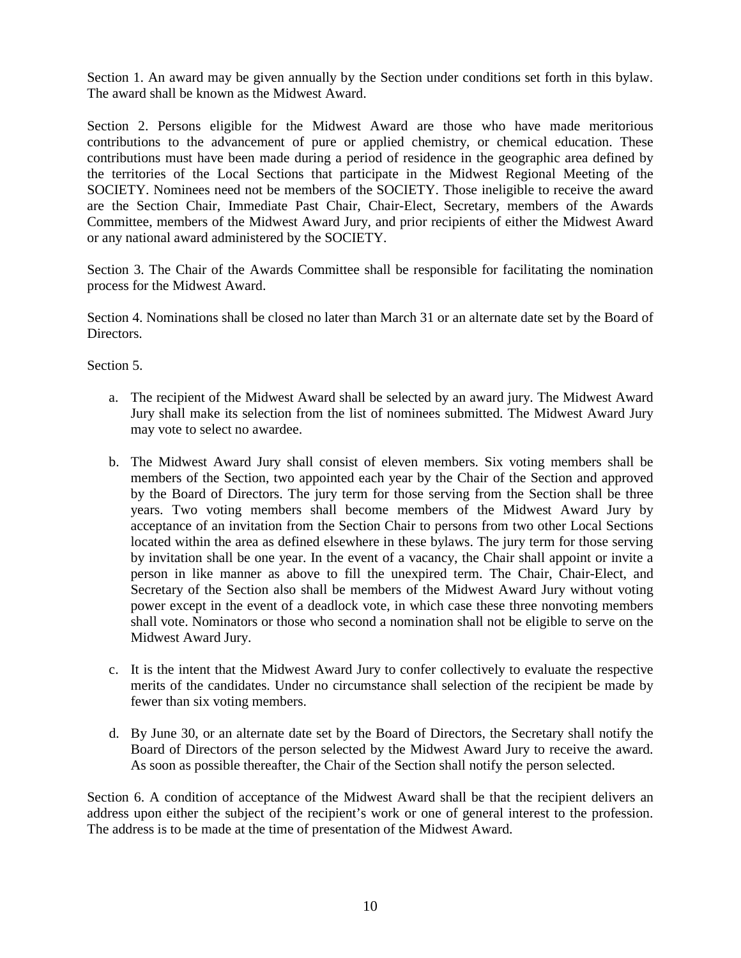Section 1. An award may be given annually by the Section under conditions set forth in this bylaw. The award shall be known as the Midwest Award.

Section 2. Persons eligible for the Midwest Award are those who have made meritorious contributions to the advancement of pure or applied chemistry, or chemical education. These contributions must have been made during a period of residence in the geographic area defined by the territories of the Local Sections that participate in the Midwest Regional Meeting of the SOCIETY. Nominees need not be members of the SOCIETY. Those ineligible to receive the award are the Section Chair, Immediate Past Chair, Chair-Elect, Secretary, members of the Awards Committee, members of the Midwest Award Jury, and prior recipients of either the Midwest Award or any national award administered by the SOCIETY.

Section 3. The Chair of the Awards Committee shall be responsible for facilitating the nomination process for the Midwest Award.

Section 4. Nominations shall be closed no later than March 31 or an alternate date set by the Board of Directors.

Section 5.

- a. The recipient of the Midwest Award shall be selected by an award jury. The Midwest Award Jury shall make its selection from the list of nominees submitted. The Midwest Award Jury may vote to select no awardee.
- b. The Midwest Award Jury shall consist of eleven members. Six voting members shall be members of the Section, two appointed each year by the Chair of the Section and approved by the Board of Directors. The jury term for those serving from the Section shall be three years. Two voting members shall become members of the Midwest Award Jury by acceptance of an invitation from the Section Chair to persons from two other Local Sections located within the area as defined elsewhere in these bylaws. The jury term for those serving by invitation shall be one year. In the event of a vacancy, the Chair shall appoint or invite a person in like manner as above to fill the unexpired term. The Chair, Chair-Elect, and Secretary of the Section also shall be members of the Midwest Award Jury without voting power except in the event of a deadlock vote, in which case these three nonvoting members shall vote. Nominators or those who second a nomination shall not be eligible to serve on the Midwest Award Jury.
- c. It is the intent that the Midwest Award Jury to confer collectively to evaluate the respective merits of the candidates. Under no circumstance shall selection of the recipient be made by fewer than six voting members.
- d. By June 30, or an alternate date set by the Board of Directors, the Secretary shall notify the Board of Directors of the person selected by the Midwest Award Jury to receive the award. As soon as possible thereafter, the Chair of the Section shall notify the person selected.

Section 6. A condition of acceptance of the Midwest Award shall be that the recipient delivers an address upon either the subject of the recipient's work or one of general interest to the profession. The address is to be made at the time of presentation of the Midwest Award.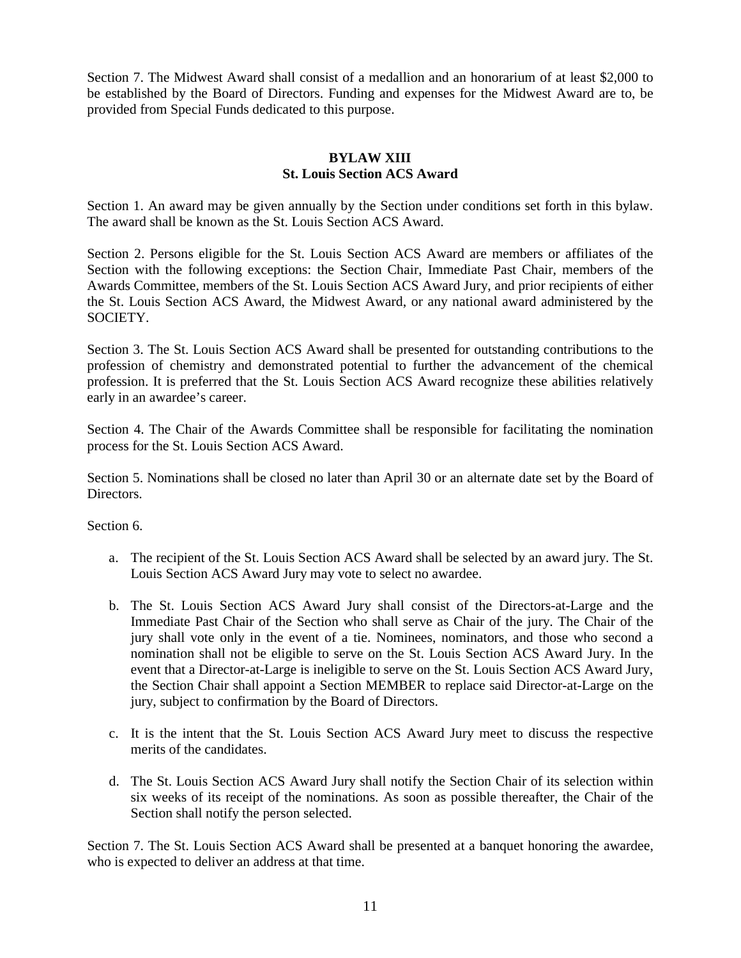Section 7. The Midwest Award shall consist of a medallion and an honorarium of at least \$2,000 to be established by the Board of Directors. Funding and expenses for the Midwest Award are to, be provided from Special Funds dedicated to this purpose.

# **BYLAW XIII St. Louis Section ACS Award**

Section 1. An award may be given annually by the Section under conditions set forth in this bylaw. The award shall be known as the St. Louis Section ACS Award.

Section 2. Persons eligible for the St. Louis Section ACS Award are members or affiliates of the Section with the following exceptions: the Section Chair, Immediate Past Chair, members of the Awards Committee, members of the St. Louis Section ACS Award Jury, and prior recipients of either the St. Louis Section ACS Award, the Midwest Award, or any national award administered by the SOCIETY.

Section 3. The St. Louis Section ACS Award shall be presented for outstanding contributions to the profession of chemistry and demonstrated potential to further the advancement of the chemical profession. It is preferred that the St. Louis Section ACS Award recognize these abilities relatively early in an awardee's career.

Section 4. The Chair of the Awards Committee shall be responsible for facilitating the nomination process for the St. Louis Section ACS Award.

Section 5. Nominations shall be closed no later than April 30 or an alternate date set by the Board of Directors.

Section 6.

- a. The recipient of the St. Louis Section ACS Award shall be selected by an award jury. The St. Louis Section ACS Award Jury may vote to select no awardee.
- b. The St. Louis Section ACS Award Jury shall consist of the Directors-at-Large and the Immediate Past Chair of the Section who shall serve as Chair of the jury. The Chair of the jury shall vote only in the event of a tie. Nominees, nominators, and those who second a nomination shall not be eligible to serve on the St. Louis Section ACS Award Jury. In the event that a Director-at-Large is ineligible to serve on the St. Louis Section ACS Award Jury, the Section Chair shall appoint a Section MEMBER to replace said Director-at-Large on the jury, subject to confirmation by the Board of Directors.
- c. It is the intent that the St. Louis Section ACS Award Jury meet to discuss the respective merits of the candidates.
- d. The St. Louis Section ACS Award Jury shall notify the Section Chair of its selection within six weeks of its receipt of the nominations. As soon as possible thereafter, the Chair of the Section shall notify the person selected.

Section 7. The St. Louis Section ACS Award shall be presented at a banquet honoring the awardee, who is expected to deliver an address at that time.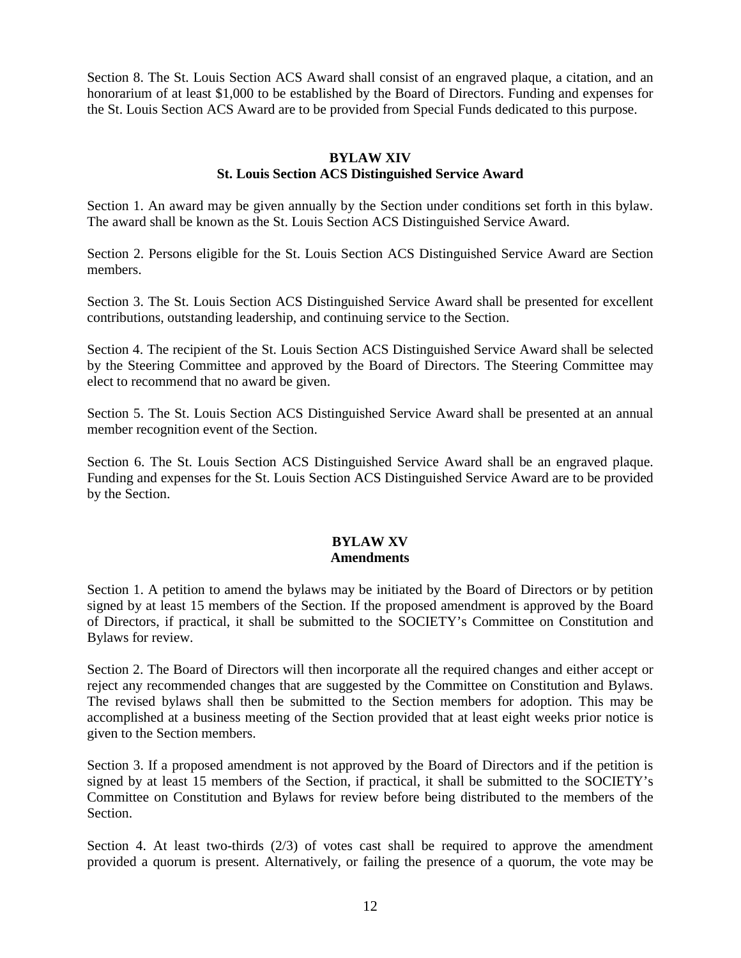Section 8. The St. Louis Section ACS Award shall consist of an engraved plaque, a citation, and an honorarium of at least \$1,000 to be established by the Board of Directors. Funding and expenses for the St. Louis Section ACS Award are to be provided from Special Funds dedicated to this purpose.

# **BYLAW XIV St. Louis Section ACS Distinguished Service Award**

Section 1. An award may be given annually by the Section under conditions set forth in this bylaw. The award shall be known as the St. Louis Section ACS Distinguished Service Award.

Section 2. Persons eligible for the St. Louis Section ACS Distinguished Service Award are Section members.

Section 3. The St. Louis Section ACS Distinguished Service Award shall be presented for excellent contributions, outstanding leadership, and continuing service to the Section.

Section 4. The recipient of the St. Louis Section ACS Distinguished Service Award shall be selected by the Steering Committee and approved by the Board of Directors. The Steering Committee may elect to recommend that no award be given.

Section 5. The St. Louis Section ACS Distinguished Service Award shall be presented at an annual member recognition event of the Section.

Section 6. The St. Louis Section ACS Distinguished Service Award shall be an engraved plaque. Funding and expenses for the St. Louis Section ACS Distinguished Service Award are to be provided by the Section.

#### **BYLAW XV Amendments**

Section 1. A petition to amend the bylaws may be initiated by the Board of Directors or by petition signed by at least 15 members of the Section. If the proposed amendment is approved by the Board of Directors, if practical, it shall be submitted to the SOCIETY's Committee on Constitution and Bylaws for review.

Section 2. The Board of Directors will then incorporate all the required changes and either accept or reject any recommended changes that are suggested by the Committee on Constitution and Bylaws. The revised bylaws shall then be submitted to the Section members for adoption. This may be accomplished at a business meeting of the Section provided that at least eight weeks prior notice is given to the Section members.

Section 3. If a proposed amendment is not approved by the Board of Directors and if the petition is signed by at least 15 members of the Section, if practical, it shall be submitted to the SOCIETY's Committee on Constitution and Bylaws for review before being distributed to the members of the Section.

Section 4. At least two-thirds  $(2/3)$  of votes cast shall be required to approve the amendment provided a quorum is present. Alternatively, or failing the presence of a quorum, the vote may be